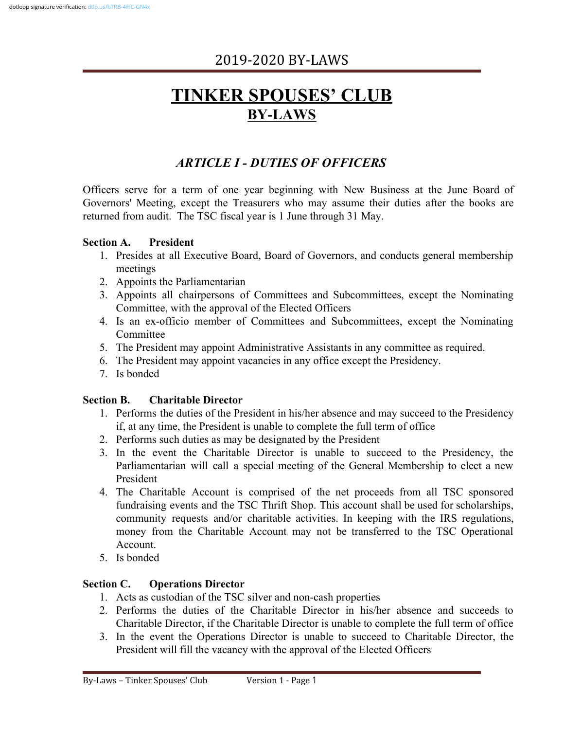# **TINKER SPOUSES' CLUB BY-LAWS**

# *ARTICLE I - DUTIES OF OFFICERS*

Officers serve for a term of one year beginning with New Business at the June Board of Governors' Meeting, except the Treasurers who may assume their duties after the books are returned from audit. The TSC fiscal year is 1 June through 31 May.

#### **Section A. President**

- 1. Presides at all Executive Board, Board of Governors, and conducts general membership meetings
- 2. Appoints the Parliamentarian
- 3. Appoints all chairpersons of Committees and Subcommittees, except the Nominating Committee, with the approval of the Elected Officers
- 4. Is an ex-officio member of Committees and Subcommittees, except the Nominating Committee
- 5. The President may appoint Administrative Assistants in any committee as required.
- 6. The President may appoint vacancies in any office except the Presidency.
- 7. Is bonded

#### **Section B. Charitable Director**

- 1. Performs the duties of the President in his/her absence and may succeed to the Presidency if, at any time, the President is unable to complete the full term of office
- 2. Performs such duties as may be designated by the President
- 3. In the event the Charitable Director is unable to succeed to the Presidency, the Parliamentarian will call a special meeting of the General Membership to elect a new President
- 4. The Charitable Account is comprised of the net proceeds from all TSC sponsored fundraising events and the TSC Thrift Shop. This account shall be used for scholarships, community requests and/or charitable activities. In keeping with the IRS regulations, money from the Charitable Account may not be transferred to the TSC Operational Account.
- 5. Is bonded

#### **Section C. Operations Director**

- 1. Acts as custodian of the TSC silver and non-cash properties
- 2. Performs the duties of the Charitable Director in his/her absence and succeeds to Charitable Director, if the Charitable Director is unable to complete the full term of office
- 3. In the event the Operations Director is unable to succeed to Charitable Director, the President will fill the vacancy with the approval of the Elected Officers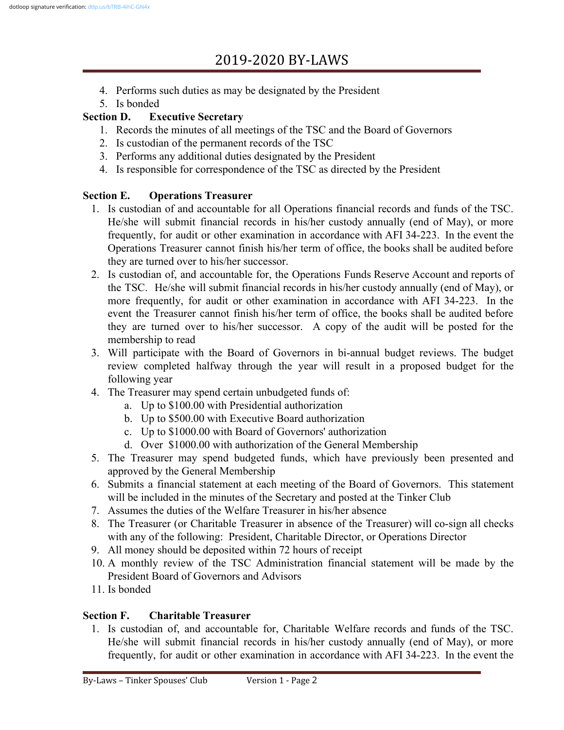- 4. Performs such duties as may be designated by the President
- 5. Is bonded

### **Section D. Executive Secretary**

- 1. Records the minutes of all meetings of the TSC and the Board of Governors
- 2. Is custodian of the permanent records of the TSC
- 3. Performs any additional duties designated by the President
- 4. Is responsible for correspondence of the TSC as directed by the President

# **Section E. Operations Treasurer**

- 1. Is custodian of and accountable for all Operations financial records and funds of the TSC. He/she will submit financial records in his/her custody annually (end of May), or more frequently, for audit or other examination in accordance with AFI 34-223. In the event the Operations Treasurer cannot finish his/her term of office, the books shall be audited before they are turned over to his/her successor.
- 2. Is custodian of, and accountable for, the Operations Funds Reserve Account and reports of the TSC. He/she will submit financial records in his/her custody annually (end of May), or more frequently, for audit or other examination in accordance with AFI 34-223. In the event the Treasurer cannot finish his/her term of office, the books shall be audited before they are turned over to his/her successor. A copy of the audit will be posted for the membership to read
- 3. Will participate with the Board of Governors in bi-annual budget reviews. The budget review completed halfway through the year will result in a proposed budget for the following year
- 4. The Treasurer may spend certain unbudgeted funds of:
	- a. Up to \$100.00 with Presidential authorization
	- b. Up to \$500.00 with Executive Board authorization
	- c. Up to \$1000.00 with Board of Governors' authorization
	- d. Over \$1000.00 with authorization of the General Membership
- 5. The Treasurer may spend budgeted funds, which have previously been presented and approved by the General Membership
- 6. Submits a financial statement at each meeting of the Board of Governors. This statement will be included in the minutes of the Secretary and posted at the Tinker Club
- 7. Assumes the duties of the Welfare Treasurer in his/her absence
- 8. The Treasurer (or Charitable Treasurer in absence of the Treasurer) will co-sign all checks with any of the following: President, Charitable Director, or Operations Director
- 9. All money should be deposited within 72 hours of receipt
- 10. A monthly review of the TSC Administration financial statement will be made by the President Board of Governors and Advisors
- 11. Is bonded

# **Section F. Charitable Treasurer**

1. Is custodian of, and accountable for, Charitable Welfare records and funds of the TSC. He/she will submit financial records in his/her custody annually (end of May), or more frequently, for audit or other examination in accordance with AFI 34-223. In the event the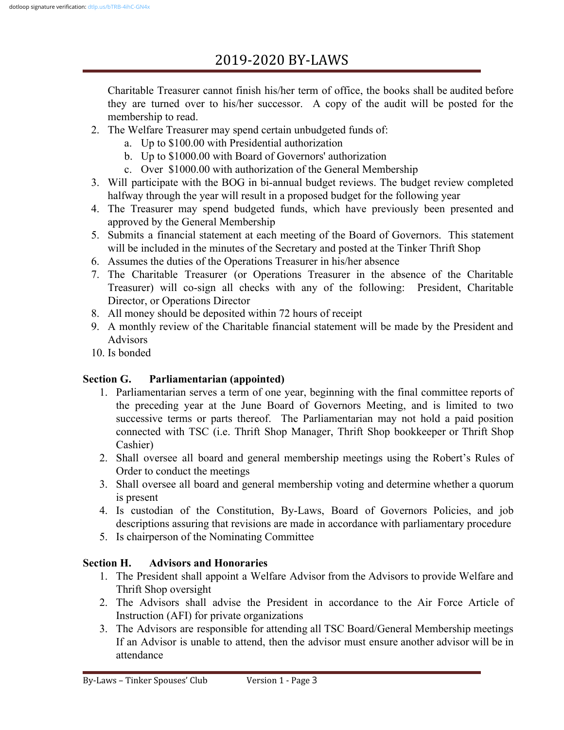Charitable Treasurer cannot finish his/her term of office, the books shall be audited before they are turned over to his/her successor. A copy of the audit will be posted for the membership to read.

- 2. The Welfare Treasurer may spend certain unbudgeted funds of:
	- a. Up to \$100.00 with Presidential authorization
	- b. Up to \$1000.00 with Board of Governors' authorization
	- c. Over \$1000.00 with authorization of the General Membership
- 3. Will participate with the BOG in bi-annual budget reviews. The budget review completed halfway through the year will result in a proposed budget for the following year
- 4. The Treasurer may spend budgeted funds, which have previously been presented and approved by the General Membership
- 5. Submits a financial statement at each meeting of the Board of Governors. This statement will be included in the minutes of the Secretary and posted at the Tinker Thrift Shop
- 6. Assumes the duties of the Operations Treasurer in his/her absence
- 7. The Charitable Treasurer (or Operations Treasurer in the absence of the Charitable Treasurer) will co-sign all checks with any of the following: President, Charitable Director, or Operations Director
- 8. All money should be deposited within 72 hours of receipt
- 9. A monthly review of the Charitable financial statement will be made by the President and Advisors
- 10. Is bonded

### **Section G. Parliamentarian (appointed)**

- 1. Parliamentarian serves a term of one year, beginning with the final committee reports of the preceding year at the June Board of Governors Meeting, and is limited to two successive terms or parts thereof. The Parliamentarian may not hold a paid position connected with TSC (i.e. Thrift Shop Manager, Thrift Shop bookkeeper or Thrift Shop Cashier)
- 2. Shall oversee all board and general membership meetings using the Robert's Rules of Order to conduct the meetings
- 3. Shall oversee all board and general membership voting and determine whether a quorum is present
- 4. Is custodian of the Constitution, By-Laws, Board of Governors Policies, and job descriptions assuring that revisions are made in accordance with parliamentary procedure
- 5. Is chairperson of the Nominating Committee

### **Section H. Advisors and Honoraries**

- 1. The President shall appoint a Welfare Advisor from the Advisors to provide Welfare and Thrift Shop oversight
- 2. The Advisors shall advise the President in accordance to the Air Force Article of Instruction (AFI) for private organizations
- 3. The Advisors are responsible for attending all TSC Board/General Membership meetings If an Advisor is unable to attend, then the advisor must ensure another advisor will be in attendance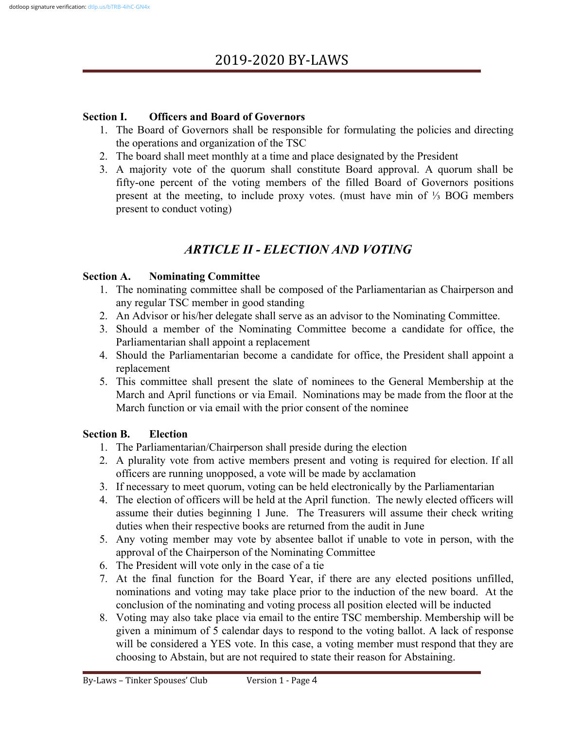#### **Section I. Officers and Board of Governors**

- 1. The Board of Governors shall be responsible for formulating the policies and directing the operations and organization of the TSC
- 2. The board shall meet monthly at a time and place designated by the President
- 3. A majority vote of the quorum shall constitute Board approval. A quorum shall be fifty-one percent of the voting members of the filled Board of Governors positions present at the meeting, to include proxy votes. (must have min of ⅓ BOG members present to conduct voting)

# *ARTICLE II - ELECTION AND VOTING*

#### **Section A. Nominating Committee**

- 1. The nominating committee shall be composed of the Parliamentarian as Chairperson and any regular TSC member in good standing
- 2. An Advisor or his/her delegate shall serve as an advisor to the Nominating Committee.
- 3. Should a member of the Nominating Committee become a candidate for office, the Parliamentarian shall appoint a replacement
- 4. Should the Parliamentarian become a candidate for office, the President shall appoint a replacement
- 5. This committee shall present the slate of nominees to the General Membership at the March and April functions or via Email. Nominations may be made from the floor at the March function or via email with the prior consent of the nominee

#### **Section B. Election**

- 1. The Parliamentarian/Chairperson shall preside during the election
- 2. A plurality vote from active members present and voting is required for election. If all officers are running unopposed, a vote will be made by acclamation
- 3. If necessary to meet quorum, voting can be held electronically by the Parliamentarian
- 4. The election of officers will be held at the April function. The newly elected officers will assume their duties beginning 1 June. The Treasurers will assume their check writing duties when their respective books are returned from the audit in June
- 5. Any voting member may vote by absentee ballot if unable to vote in person, with the approval of the Chairperson of the Nominating Committee
- 6. The President will vote only in the case of a tie
- 7. At the final function for the Board Year, if there are any elected positions unfilled, nominations and voting may take place prior to the induction of the new board. At the conclusion of the nominating and voting process all position elected will be inducted
- 8. Voting may also take place via email to the entire TSC membership. Membership will be given a minimum of 5 calendar days to respond to the voting ballot. A lack of response will be considered a YES vote. In this case, a voting member must respond that they are choosing to Abstain, but are not required to state their reason for Abstaining.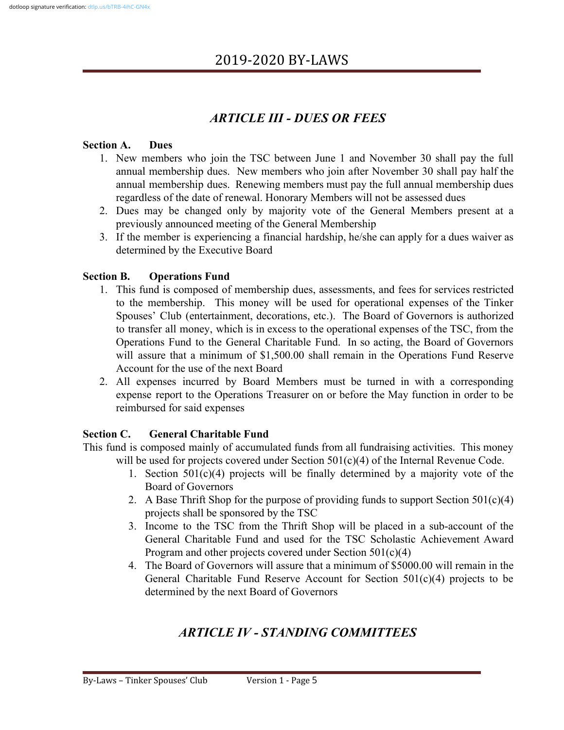# *ARTICLE III - DUES OR FEES*

#### **Section A. Dues**

- 1. New members who join the TSC between June 1 and November 30 shall pay the full annual membership dues. New members who join after November 30 shall pay half the annual membership dues. Renewing members must pay the full annual membership dues regardless of the date of renewal. Honorary Members will not be assessed dues
- 2. Dues may be changed only by majority vote of the General Members present at a previously announced meeting of the General Membership
- 3. If the member is experiencing a financial hardship, he/she can apply for a dues waiver as determined by the Executive Board

#### **Section B. Operations Fund**

- 1. This fund is composed of membership dues, assessments, and fees for services restricted to the membership. This money will be used for operational expenses of the Tinker Spouses' Club (entertainment, decorations, etc.). The Board of Governors is authorized to transfer all money, which is in excess to the operational expenses of the TSC, from the Operations Fund to the General Charitable Fund. In so acting, the Board of Governors will assure that a minimum of \$1,500.00 shall remain in the Operations Fund Reserve Account for the use of the next Board
- 2. All expenses incurred by Board Members must be turned in with a corresponding expense report to the Operations Treasurer on or before the May function in order to be reimbursed for said expenses

#### **Section C. General Charitable Fund**

This fund is composed mainly of accumulated funds from all fundraising activities. This money will be used for projects covered under Section 501(c)(4) of the Internal Revenue Code.

- 1. Section 501(c)(4) projects will be finally determined by a majority vote of the Board of Governors
- 2. A Base Thrift Shop for the purpose of providing funds to support Section  $501(c)(4)$ projects shall be sponsored by the TSC
- 3. Income to the TSC from the Thrift Shop will be placed in a sub-account of the General Charitable Fund and used for the TSC Scholastic Achievement Award Program and other projects covered under Section 501(c)(4)
- 4. The Board of Governors will assure that a minimum of \$5000.00 will remain in the General Charitable Fund Reserve Account for Section 501(c)(4) projects to be determined by the next Board of Governors

# *ARTICLE IV - STANDING COMMITTEES*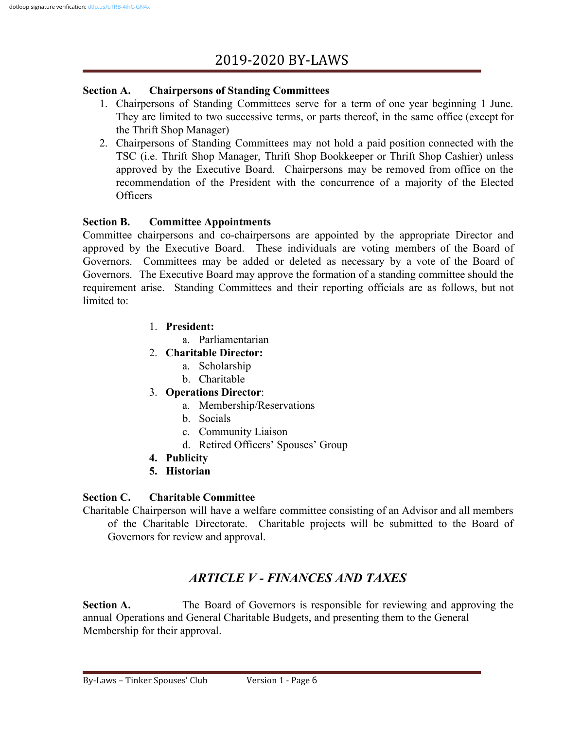#### **Section A. Chairpersons of Standing Committees**

- 1. Chairpersons of Standing Committees serve for a term of one year beginning 1 June. They are limited to two successive terms, or parts thereof, in the same office (except for the Thrift Shop Manager)
- 2. Chairpersons of Standing Committees may not hold a paid position connected with the TSC (i.e. Thrift Shop Manager, Thrift Shop Bookkeeper or Thrift Shop Cashier) unless approved by the Executive Board. Chairpersons may be removed from office on the recommendation of the President with the concurrence of a majority of the Elected Officers

#### **Section B. Committee Appointments**

Committee chairpersons and co-chairpersons are appointed by the appropriate Director and approved by the Executive Board. These individuals are voting members of the Board of Governors. Committees may be added or deleted as necessary by a vote of the Board of Governors. The Executive Board may approve the formation of a standing committee should the requirement arise. Standing Committees and their reporting officials are as follows, but not limited to:

- 1. **President:**
	- a. Parliamentarian
- 2. **Charitable Director:**
	- a. Scholarship
	- b. Charitable
- 3. **Operations Director**:
	- a. Membership/Reservations
	- b. Socials
	- c. Community Liaison
	- d. Retired Officers' Spouses' Group
- **4. Publicity**
- **5. Historian**

#### **Section C. Charitable Committee**

Charitable Chairperson will have a welfare committee consisting of an Advisor and all members of the Charitable Directorate. Charitable projects will be submitted to the Board of Governors for review and approval.

# *ARTICLE V - FINANCES AND TAXES*

**Section A.** The Board of Governors is responsible for reviewing and approving the annual Operations and General Charitable Budgets, and presenting them to the General Membership for their approval.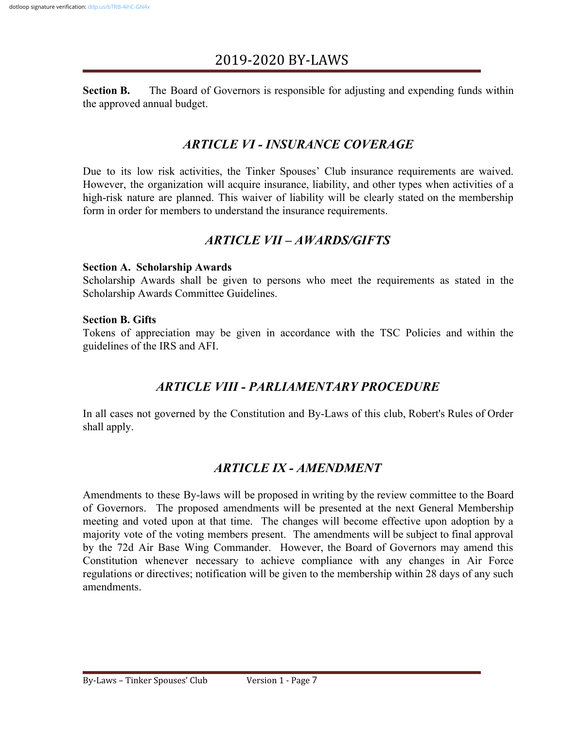**Section B.** The Board of Governors is responsible for adjusting and expending funds within the approved annual budget.

### *ARTICLE VI - INSURANCE COVERAGE*

Due to its low risk activities, the Tinker Spouses' Club insurance requirements are waived. However, the organization will acquire insurance, liability, and other types when activities of a high-risk nature are planned. This waiver of liability will be clearly stated on the membership form in order for members to understand the insurance requirements.

### *ARTICLE VII – AWARDS/GIFTS*

#### **Section A. Scholarship Awards**

Scholarship Awards shall be given to persons who meet the requirements as stated in the Scholarship Awards Committee Guidelines.

#### **Section B. Gifts**

Tokens of appreciation may be given in accordance with the TSC Policies and within the guidelines of the IRS and AFI.

### *ARTICLE VIII - PARLIAMENTARY PROCEDURE*

In all cases not governed by the Constitution and By-Laws of this club, Robert's Rules of Order shall apply.

### *ARTICLE IX - AMENDMENT*

Amendments to these By-laws will be proposed in writing by the review committee to the Board of Governors. The proposed amendments will be presented at the next General Membership meeting and voted upon at that time. The changes will become effective upon adoption by a majority vote of the voting members present. The amendments will be subject to final approval by the 72d Air Base Wing Commander. However, the Board of Governors may amend this Constitution whenever necessary to achieve compliance with any changes in Air Force regulations or directives; notification will be given to the membership within 28 days of any such amendments.